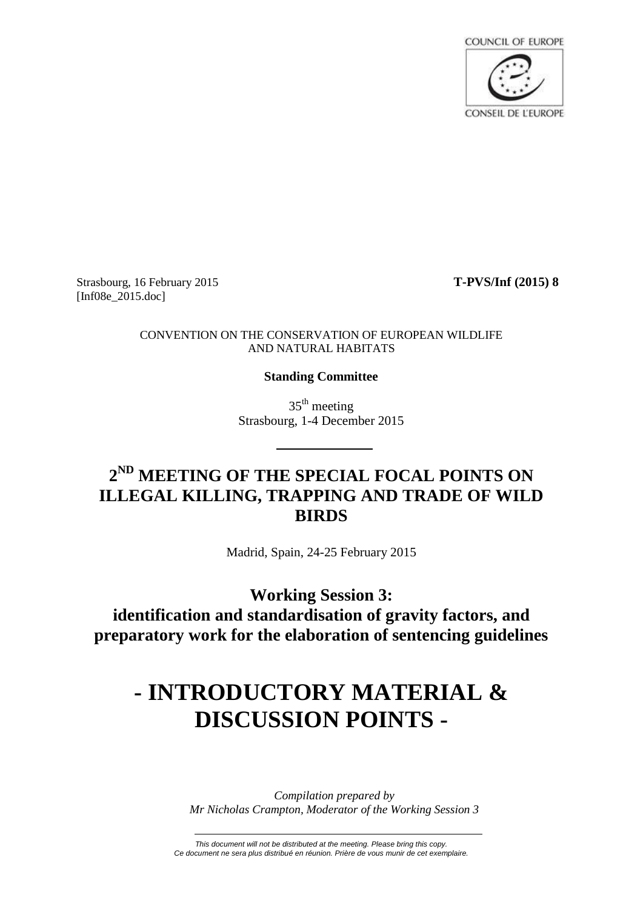

Strasbourg, 16 February 2015 **T-PVS/Inf (2015) 8** [Inf08e 2015.doc]

#### CONVENTION ON THE CONSERVATION OF EUROPEAN WILDLIFE AND NATURAL HABITATS

### **Standing Committee**

 $35<sup>th</sup>$  meeting Strasbourg, 1-4 December 2015

# **2 ND MEETING OF THE SPECIAL FOCAL POINTS ON ILLEGAL KILLING, TRAPPING AND TRADE OF WILD BIRDS**

Madrid, Spain, 24-25 February 2015

**Working Session 3: identification and standardisation of gravity factors, and preparatory work for the elaboration of sentencing guidelines**

# **- INTRODUCTORY MATERIAL & DISCUSSION POINTS -**

*Compilation prepared by Mr Nicholas Crampton, Moderator of the Working Session 3*

*This document will not be distributed at the meeting. Please bring this copy. Ce document ne sera plus distribué en réunion. Prière de vous munir de cet exemplaire.*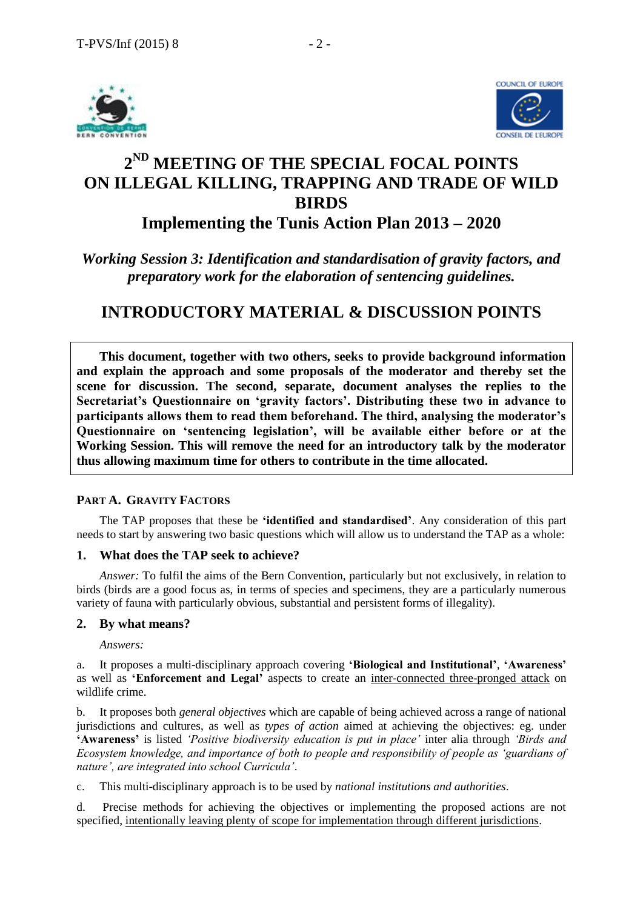



# **2 ND MEETING OF THE SPECIAL FOCAL POINTS ON ILLEGAL KILLING, TRAPPING AND TRADE OF WILD BIRDS Implementing the Tunis Action Plan 2013 – 2020**

## *Working Session 3: Identification and standardisation of gravity factors, and preparatory work for the elaboration of sentencing guidelines.*

# **INTRODUCTORY MATERIAL & DISCUSSION POINTS**

**This document, together with two others, seeks to provide background information and explain the approach and some proposals of the moderator and thereby set the scene for discussion. The second, separate, document analyses the replies to the Secretariat's Questionnaire on 'gravity factors'. Distributing these two in advance to participants allows them to read them beforehand. The third, analysing the moderator's Questionnaire on 'sentencing legislation', will be available either before or at the Working Session. This will remove the need for an introductory talk by the moderator thus allowing maximum time for others to contribute in the time allocated.** 

### **PART A. GRAVITY FACTORS**

The TAP proposes that these be **'identified and standardised'**. Any consideration of this part needs to start by answering two basic questions which will allow us to understand the TAP as a whole:

### **1. What does the TAP seek to achieve?**

*Answer:* To fulfil the aims of the Bern Convention, particularly but not exclusively, in relation to birds (birds are a good focus as, in terms of species and specimens, they are a particularly numerous variety of fauna with particularly obvious, substantial and persistent forms of illegality).

### **2. By what means?**

*Answers:*

a. It proposes a multi-disciplinary approach covering **'Biological and Institutional'**, **'Awareness'** as well as **'Enforcement and Legal'** aspects to create an inter-connected three-pronged attack on wildlife crime.

b. It proposes both *general objectives* which are capable of being achieved across a range of national jurisdictions and cultures, as well as *types of action* aimed at achieving the objectives: eg. under **'Awareness'** is listed *'Positive biodiversity education is put in place'* inter alia through *'Birds and Ecosystem knowledge, and importance of both to people and responsibility of people as 'guardians of nature', are integrated into school Curricula'*.

c. This multi-disciplinary approach is to be used by *national institutions and authorities*.

d. Precise methods for achieving the objectives or implementing the proposed actions are not specified, intentionally leaving plenty of scope for implementation through different jurisdictions.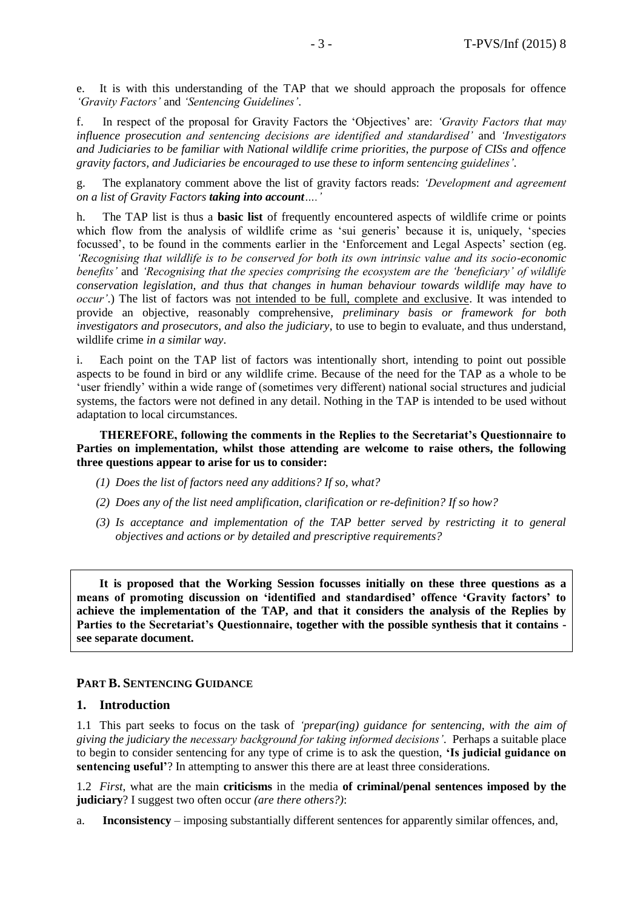e. It is with this understanding of the TAP that we should approach the proposals for offence *'Gravity Factors'* and *'Sentencing Guidelines'*.

f. In respect of the proposal for Gravity Factors the 'Objectives' are: *'Gravity Factors that may influence prosecution and sentencing decisions are identified and standardised'* and *'Investigators and Judiciaries to be familiar with National wildlife crime priorities, the purpose of CISs and offence gravity factors, and Judiciaries be encouraged to use these to inform sentencing guidelines'*.

g. The explanatory comment above the list of gravity factors reads: *'Development and agreement on a list of Gravity Factors taking into account….'*

h. The TAP list is thus a **basic list** of frequently encountered aspects of wildlife crime or points which flow from the analysis of wildlife crime as 'sui generis' because it is, uniquely, 'species focussed', to be found in the comments earlier in the 'Enforcement and Legal Aspects' section (eg. *'Recognising that wildlife is to be conserved for both its own intrinsic value and its socio-economic benefits'* and *'Recognising that the species comprising the ecosystem are the 'beneficiary' of wildlife conservation legislation, and thus that changes in human behaviour towards wildlife may have to occur'*.) The list of factors was not intended to be full, complete and exclusive. It was intended to provide an objective, reasonably comprehensive, *preliminary basis or framework for both investigators and prosecutors, and also the judiciary*, to use to begin to evaluate, and thus understand, wildlife crime *in a similar way*.

i. Each point on the TAP list of factors was intentionally short, intending to point out possible aspects to be found in bird or any wildlife crime. Because of the need for the TAP as a whole to be 'user friendly' within a wide range of (sometimes very different) national social structures and judicial systems, the factors were not defined in any detail. Nothing in the TAP is intended to be used without adaptation to local circumstances.

#### **THEREFORE, following the comments in the Replies to the Secretariat's Questionnaire to Parties on implementation, whilst those attending are welcome to raise others, the following three questions appear to arise for us to consider:**

- *(1) Does the list of factors need any additions? If so, what?*
- *(2) Does any of the list need amplification, clarification or re-definition? If so how?*
- *(3) Is acceptance and implementation of the TAP better served by restricting it to general objectives and actions or by detailed and prescriptive requirements?*

**It is proposed that the Working Session focusses initially on these three questions as a means of promoting discussion on 'identified and standardised' offence 'Gravity factors' to achieve the implementation of the TAP, and that it considers the analysis of the Replies by Parties to the Secretariat's Questionnaire, together with the possible synthesis that it contains see separate document.** 

#### **PART B. SENTENCING GUIDANCE**

#### **1. Introduction**

1.1 This part seeks to focus on the task of *'prepar(ing) guidance for sentencing, with the aim of giving the judiciary the necessary background for taking informed decisions'*. Perhaps a suitable place to begin to consider sentencing for any type of crime is to ask the question, **'Is judicial guidance on sentencing useful'**? In attempting to answer this there are at least three considerations.

1.2 *First*, what are the main **criticisms** in the media **of criminal/penal sentences imposed by the judiciary**? I suggest two often occur *(are there others?)*:

a. **Inconsistency** – imposing substantially different sentences for apparently similar offences, and,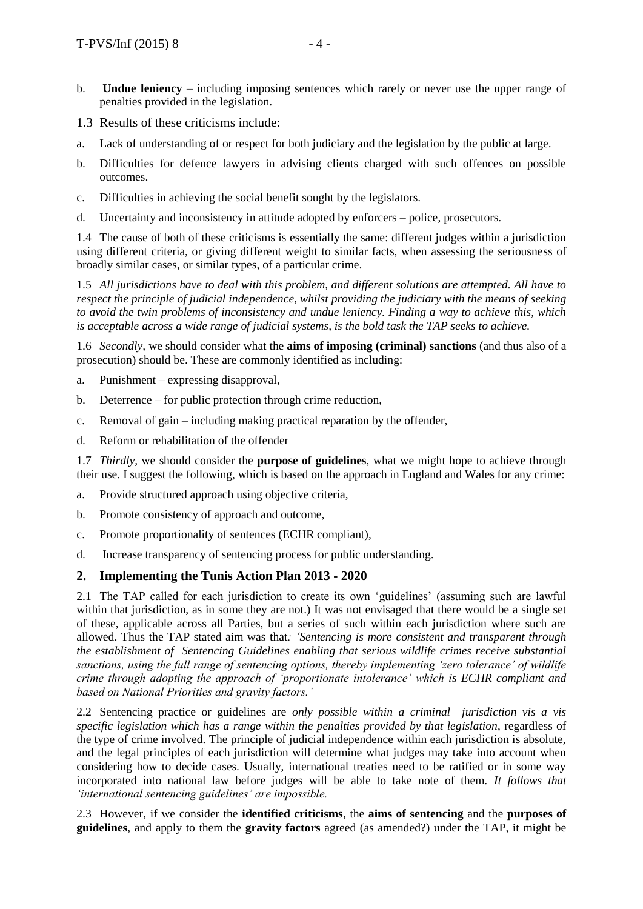- b. **Undue leniency** including imposing sentences which rarely or never use the upper range of penalties provided in the legislation.
- 1.3 Results of these criticisms include:
- a. Lack of understanding of or respect for both judiciary and the legislation by the public at large.
- b. Difficulties for defence lawyers in advising clients charged with such offences on possible outcomes.
- c. Difficulties in achieving the social benefit sought by the legislators.
- d. Uncertainty and inconsistency in attitude adopted by enforcers police, prosecutors.

1.4 The cause of both of these criticisms is essentially the same: different judges within a jurisdiction using different criteria, or giving different weight to similar facts, when assessing the seriousness of broadly similar cases, or similar types, of a particular crime.

1.5 *All jurisdictions have to deal with this problem, and different solutions are attempted. All have to respect the principle of judicial independence, whilst providing the judiciary with the means of seeking to avoid the twin problems of inconsistency and undue leniency. Finding a way to achieve this, which is acceptable across a wide range of judicial systems, is the bold task the TAP seeks to achieve.*

1.6 *Secondly,* we should consider what the **aims of imposing (criminal) sanctions** (and thus also of a prosecution) should be. These are commonly identified as including:

- a. Punishment expressing disapproval,
- b. Deterrence for public protection through crime reduction,
- c. Removal of gain including making practical reparation by the offender,
- d. Reform or rehabilitation of the offender

1.7 *Thirdly,* we should consider the **purpose of guidelines**, what we might hope to achieve through their use. I suggest the following, which is based on the approach in England and Wales for any crime:

- a. Provide structured approach using objective criteria,
- b. Promote consistency of approach and outcome,
- c. Promote proportionality of sentences (ECHR compliant),
- d. Increase transparency of sentencing process for public understanding.

#### **2. Implementing the Tunis Action Plan 2013 - 2020**

2.1 The TAP called for each jurisdiction to create its own 'guidelines' (assuming such are lawful within that jurisdiction, as in some they are not.) It was not envisaged that there would be a single set of these, applicable across all Parties, but a series of such within each jurisdiction where such are allowed. Thus the TAP stated aim was that*: 'Sentencing is more consistent and transparent through the establishment of Sentencing Guidelines enabling that serious wildlife crimes receive substantial sanctions, using the full range of sentencing options, thereby implementing 'zero tolerance' of wildlife crime through adopting the approach of 'proportionate intolerance' which is ECHR compliant and based on National Priorities and gravity factors.'* 

2.2 Sentencing practice or guidelines are *only possible within a criminal jurisdiction vis a vis specific legislation which has a range within the penalties provided by that legislation*, regardless of the type of crime involved. The principle of judicial independence within each jurisdiction is absolute, and the legal principles of each jurisdiction will determine what judges may take into account when considering how to decide cases. Usually, international treaties need to be ratified or in some way incorporated into national law before judges will be able to take note of them. *It follows that 'international sentencing guidelines' are impossible.*

2.3 However, if we consider the **identified criticisms**, the **aims of sentencing** and the **purposes of guidelines**, and apply to them the **gravity factors** agreed (as amended?) under the TAP, it might be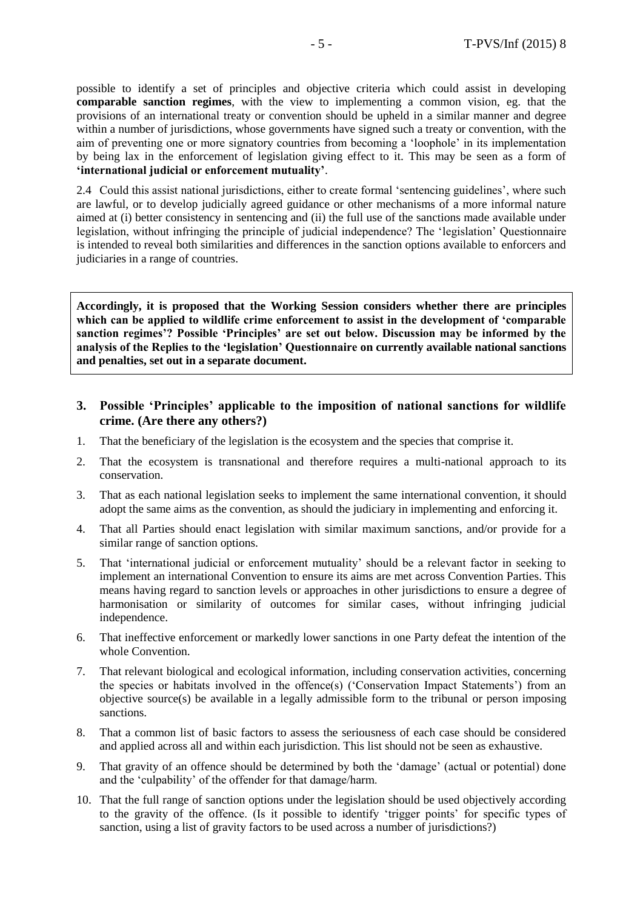possible to identify a set of principles and objective criteria which could assist in developing **comparable sanction regimes**, with the view to implementing a common vision, eg. that the provisions of an international treaty or convention should be upheld in a similar manner and degree within a number of jurisdictions, whose governments have signed such a treaty or convention, with the aim of preventing one or more signatory countries from becoming a 'loophole' in its implementation by being lax in the enforcement of legislation giving effect to it. This may be seen as a form of **'international judicial or enforcement mutuality'**.

2.4 Could this assist national jurisdictions, either to create formal 'sentencing guidelines', where such are lawful, or to develop judicially agreed guidance or other mechanisms of a more informal nature aimed at (i) better consistency in sentencing and (ii) the full use of the sanctions made available under legislation, without infringing the principle of judicial independence? The 'legislation' Questionnaire is intended to reveal both similarities and differences in the sanction options available to enforcers and judiciaries in a range of countries.

**Accordingly, it is proposed that the Working Session considers whether there are principles which can be applied to wildlife crime enforcement to assist in the development of 'comparable sanction regimes'? Possible 'Principles' are set out below. Discussion may be informed by the analysis of the Replies to the 'legislation' Questionnaire on currently available national sanctions and penalties, set out in a separate document.** 

#### **3. Possible 'Principles' applicable to the imposition of national sanctions for wildlife crime. (Are there any others?)**

- 1. That the beneficiary of the legislation is the ecosystem and the species that comprise it.
- 2. That the ecosystem is transnational and therefore requires a multi-national approach to its conservation.
- 3. That as each national legislation seeks to implement the same international convention, it should adopt the same aims as the convention, as should the judiciary in implementing and enforcing it.
- 4. That all Parties should enact legislation with similar maximum sanctions, and/or provide for a similar range of sanction options.
- 5. That 'international judicial or enforcement mutuality' should be a relevant factor in seeking to implement an international Convention to ensure its aims are met across Convention Parties. This means having regard to sanction levels or approaches in other jurisdictions to ensure a degree of harmonisation or similarity of outcomes for similar cases, without infringing judicial independence.
- 6. That ineffective enforcement or markedly lower sanctions in one Party defeat the intention of the whole Convention.
- 7. That relevant biological and ecological information, including conservation activities, concerning the species or habitats involved in the offence(s) ('Conservation Impact Statements') from an objective source(s) be available in a legally admissible form to the tribunal or person imposing sanctions.
- 8. That a common list of basic factors to assess the seriousness of each case should be considered and applied across all and within each jurisdiction. This list should not be seen as exhaustive.
- 9. That gravity of an offence should be determined by both the 'damage' (actual or potential) done and the 'culpability' of the offender for that damage/harm.
- 10. That the full range of sanction options under the legislation should be used objectively according to the gravity of the offence. (Is it possible to identify 'trigger points' for specific types of sanction, using a list of gravity factors to be used across a number of jurisdictions?)